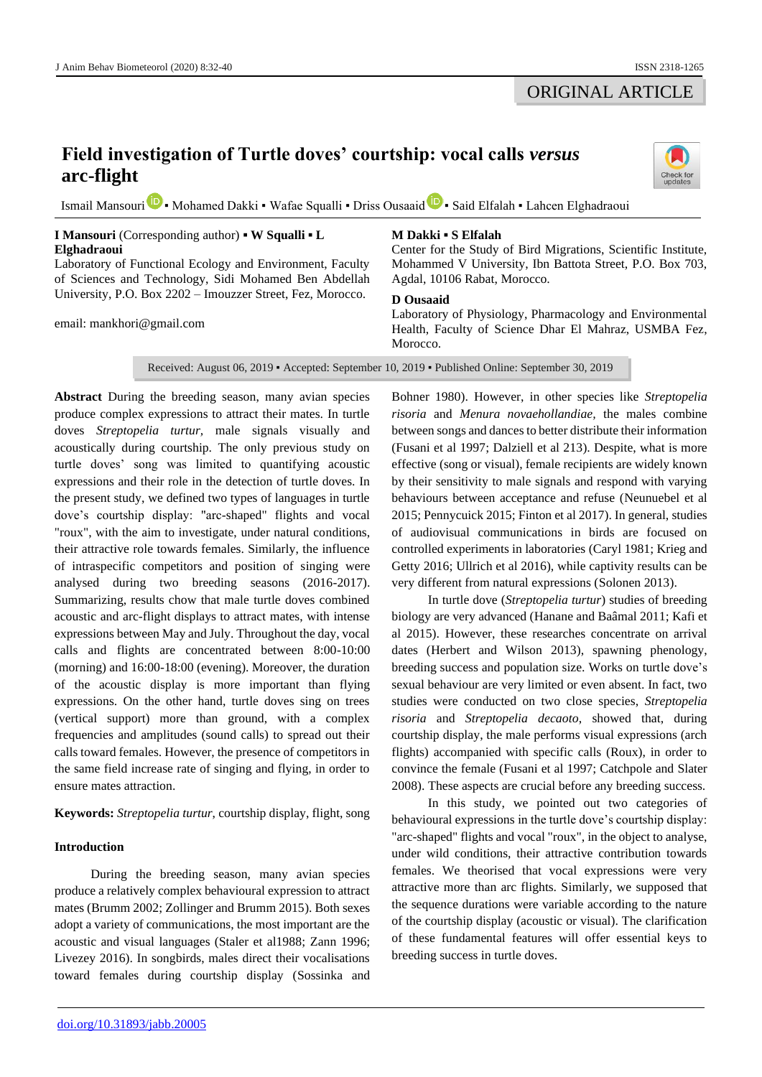## ORIGINAL ARTICLE

# **Field investigation of Turtle doves' courtship: vocal calls** *versus* **arc-flight**

Isma[i](https://orcid.org/0000-0002-3679-6050)l Mansouri **D** • Mohame[d](https://orcid.org/0000-0003-3824-672X) Dakki • Wafae Squalli • Driss Ousaaid **D** • Said Elfalah • Lahcen Elghadraoui

## **I Mansouri** (Corresponding author) **▪ W Squalli ▪ L Elghadraoui**

Laboratory of Functional Ecology and Environment, Faculty of Sciences and Technology, Sidi Mohamed Ben Abdellah University, P.O. Box 2202 – Imouzzer Street, Fez, Morocco.

email: mankhori@gmail.com

## **M Dakki ▪ S Elfalah**

Center for the Study of Bird Migrations, Scientific Institute, Mohammed V University, Ibn Battota Street, P.O. Box 703, Agdal, 10106 Rabat, Morocco.

## **D Ousaaid**

Laboratory of Physiology, Pharmacology and Environmental Health, Faculty of Science Dhar El Mahraz, USMBA Fez, Morocco.

Received: August 06, 2019 ▪ Accepted: September 10, 2019 ▪ Published Online: September 30, 2019

**Abstract** During the breeding season, many avian species produce complex expressions to attract their mates. In turtle doves *Streptopelia turtur,* male signals visually and acoustically during courtship. The only previous study on turtle doves' song was limited to quantifying acoustic expressions and their role in the detection of turtle doves. In the present study, we defined two types of languages in turtle dove's courtship display: "arc-shaped" flights and vocal "roux", with the aim to investigate, under natural conditions, their attractive role towards females. Similarly, the influence of intraspecific competitors and position of singing were analysed during two breeding seasons (2016-2017). Summarizing, results chow that male turtle doves combined acoustic and arc-flight displays to attract mates, with intense expressions between May and July. Throughout the day, vocal calls and flights are concentrated between 8:00-10:00 (morning) and 16:00-18:00 (evening). Moreover, the duration of the acoustic display is more important than flying expressions. On the other hand, turtle doves sing on trees (vertical support) more than ground, with a complex frequencies and amplitudes (sound calls) to spread out their calls toward females. However, the presence of competitors in the same field increase rate of singing and flying, in order to ensure mates attraction.

**Keywords:** *Streptopelia turtur*, courtship display, flight, song

## **Introduction**

During the breeding season, many avian species produce a relatively complex behavioural expression to attract mates (Brumm 2002; Zollinger and Brumm 2015). Both sexes adopt a variety of communications, the most important are the acoustic and visual languages (Staler et al1988; Zann 1996; Livezey 2016). In songbirds, males direct their vocalisations toward females during courtship display (Sossinka and

Bohner 1980). However, in other species like *Streptopelia risoria* and *Menura novaehollandiae,* the males combine between songs and dances to better distribute their information (Fusani et al 1997; Dalziell et al 213). Despite, what is more effective (song or visual), female recipients are widely known by their sensitivity to male signals and respond with varying behaviours between acceptance and refuse (Neunuebel et al 2015; Pennycuick 2015; Finton et al 2017). In general, studies of audiovisual communications in birds are focused on controlled experiments in laboratories (Caryl 1981; Krieg and Getty 2016; Ullrich et al 2016), while captivity results can be very different from natural expressions (Solonen 2013).

In turtle dove (*Streptopelia turtur*) studies of breeding biology are very advanced (Hanane and Baâmal 2011; Kafi et al 2015). However, these researches concentrate on arrival dates (Herbert and Wilson 2013), spawning phenology, breeding success and population size. Works on turtle dove's sexual behaviour are very limited or even absent. In fact, two studies were conducted on two close species, *Streptopelia risoria* and *Streptopelia decaoto*, showed that, during courtship display, the male performs visual expressions (arch flights) accompanied with specific calls (Roux), in order to convince the female (Fusani et al 1997; Catchpole and Slater 2008). These aspects are crucial before any breeding success.

In this study, we pointed out two categories of behavioural expressions in the turtle dove's courtship display: "arc-shaped" flights and vocal "roux", in the object to analyse, under wild conditions, their attractive contribution towards females. We theorised that vocal expressions were very attractive more than arc flights. Similarly, we supposed that the sequence durations were variable according to the nature of the courtship display (acoustic or visual). The clarification of these fundamental features will offer essential keys to breeding success in turtle doves.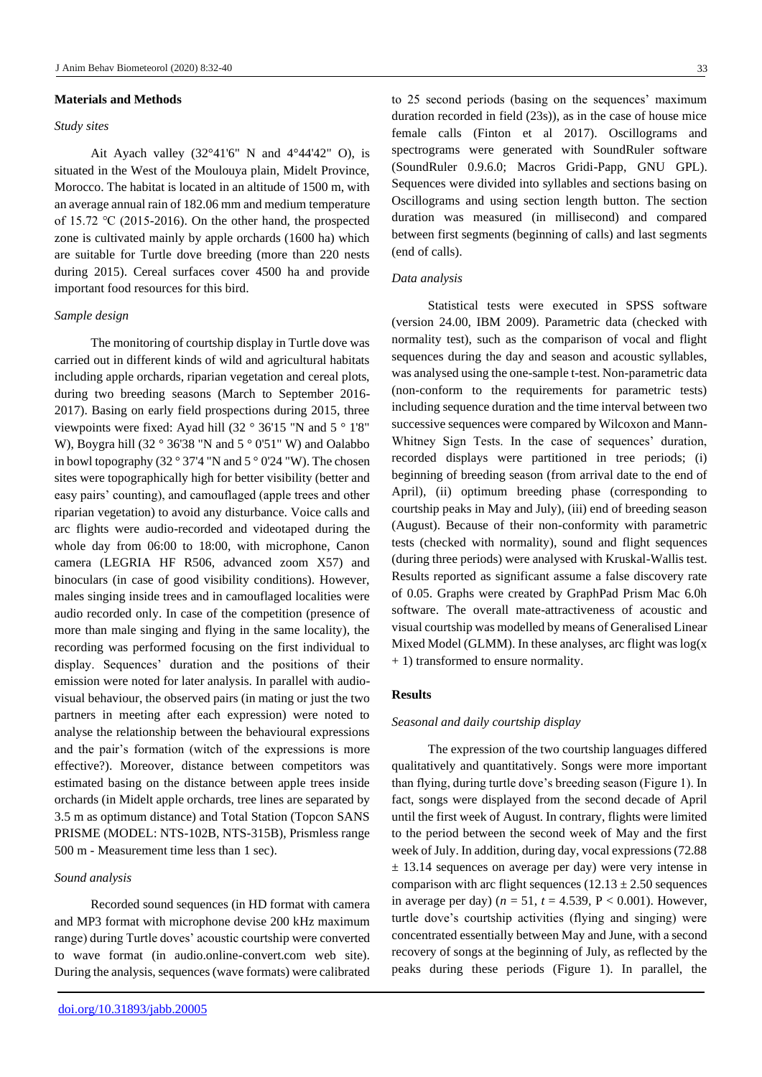#### **Materials and Methods**

## *Study sites*

Ait Ayach valley  $(32^{\circ}41'6''$  N and  $4^{\circ}44'42''$  O), is situated in the West of the Moulouya plain, Midelt Province, Morocco. The habitat is located in an altitude of 1500 m, with an average annual rain of 182.06 mm and medium temperature of 15.72 ℃ (2015-2016). On the other hand, the prospected zone is cultivated mainly by apple orchards (1600 ha) which are suitable for Turtle dove breeding (more than 220 nests during 2015). Cereal surfaces cover 4500 ha and provide important food resources for this bird.

#### *Sample design*

The monitoring of courtship display in Turtle dove was carried out in different kinds of wild and agricultural habitats including apple orchards, riparian vegetation and cereal plots, during two breeding seasons (March to September 2016- 2017). Basing on early field prospections during 2015, three viewpoints were fixed: Ayad hill (32 ° 36'15 "N and 5 ° 1'8" W), Boygra hill (32 ° 36'38 "N and 5 ° 0'51" W) and Oalabbo in bowl topography  $(32° 37'4"N$  and  $5° 0'24"W$ ). The chosen sites were topographically high for better visibility (better and easy pairs' counting), and camouflaged (apple trees and other riparian vegetation) to avoid any disturbance. Voice calls and arc flights were audio-recorded and videotaped during the whole day from 06:00 to 18:00, with microphone, Canon camera (LEGRIA HF R506, advanced zoom X57) and binoculars (in case of good visibility conditions). However, males singing inside trees and in camouflaged localities were audio recorded only. In case of the competition (presence of more than male singing and flying in the same locality), the recording was performed focusing on the first individual to display. Sequences' duration and the positions of their emission were noted for later analysis. In parallel with audiovisual behaviour, the observed pairs (in mating or just the two partners in meeting after each expression) were noted to analyse the relationship between the behavioural expressions and the pair's formation (witch of the expressions is more effective?). Moreover, distance between competitors was estimated basing on the distance between apple trees inside orchards (in Midelt apple orchards, tree lines are separated by 3.5 m as optimum distance) and Total Station (Topcon SANS PRISME (MODEL: NTS-102B, NTS-315B), Prismless range 500 m - Measurement time less than 1 sec).

## *Sound analysis*

Recorded sound sequences (in HD format with camera and MP3 format with microphone devise 200 kHz maximum range) during Turtle doves' acoustic courtship were converted to wave format (in audio.online-convert.com web site). During the analysis, sequences (wave formats) were calibrated

to 25 second periods (basing on the sequences' maximum duration recorded in field (23s)), as in the case of house mice female calls (Finton et al 2017). Oscillograms and spectrograms were generated with SoundRuler software (SoundRuler 0.9.6.0; Macros Gridi-Papp, GNU GPL). Sequences were divided into syllables and sections basing on Oscillograms and using section length button. The section duration was measured (in millisecond) and compared between first segments (beginning of calls) and last segments (end of calls).

#### *Data analysis*

Statistical tests were executed in SPSS software (version 24.00, IBM 2009). Parametric data (checked with normality test), such as the comparison of vocal and flight sequences during the day and season and acoustic syllables, was analysed using the one-sample t-test. Non-parametric data (non-conform to the requirements for parametric tests) including sequence duration and the time interval between two successive sequences were compared by Wilcoxon and Mann-Whitney Sign Tests. In the case of sequences' duration, recorded displays were partitioned in tree periods; (i) beginning of breeding season (from arrival date to the end of April), (ii) optimum breeding phase (corresponding to courtship peaks in May and July), (iii) end of breeding season (August). Because of their non-conformity with parametric tests (checked with normality), sound and flight sequences (during three periods) were analysed with Kruskal-Wallis test. Results reported as significant assume a false discovery rate of 0.05. Graphs were created by GraphPad Prism Mac 6.0h software. The overall mate-attractiveness of acoustic and visual courtship was modelled by means of Generalised Linear Mixed Model (GLMM). In these analyses, arc flight was  $log(x)$ + 1) transformed to ensure normality.

#### **Results**

## *Seasonal and daily courtship display*

The expression of the two courtship languages differed qualitatively and quantitatively. Songs were more important than flying, during turtle dove's breeding season (Figure 1). In fact, songs were displayed from the second decade of April until the first week of August. In contrary, flights were limited to the period between the second week of May and the first week of July. In addition, during day, vocal expressions (72.88  $\pm$  13.14 sequences on average per day) were very intense in comparison with arc flight sequences  $(12.13 \pm 2.50$  sequences in average per day) ( $n = 51$ ,  $t = 4.539$ ,  $P < 0.001$ ). However, turtle dove's courtship activities (flying and singing) were concentrated essentially between May and June, with a second recovery of songs at the beginning of July, as reflected by the peaks during these periods (Figure 1). In parallel, the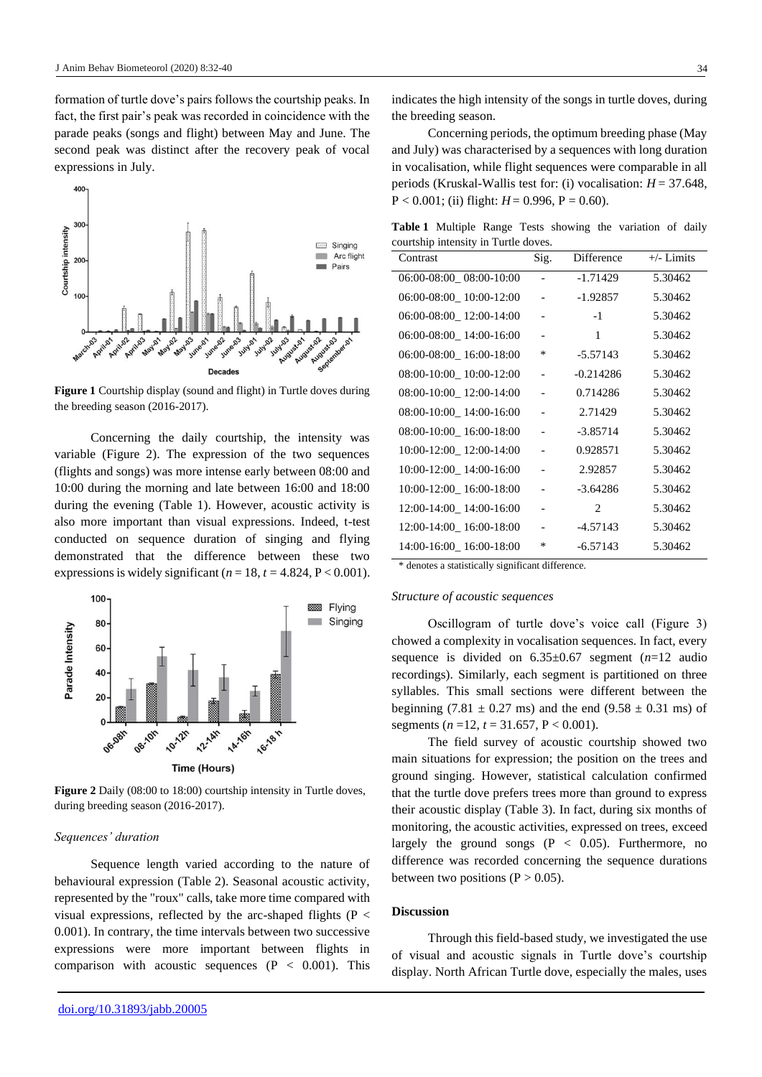formation of turtle dove's pairs follows the courtship peaks. In fact, the first pair's peak was recorded in coincidence with the parade peaks (songs and flight) between May and June. The second peak was distinct after the recovery peak of vocal expressions in July.



**Figure 1** Courtship display (sound and flight) in Turtle doves during the breeding season (2016-2017).

Concerning the daily courtship, the intensity was variable (Figure 2). The expression of the two sequences (flights and songs) was more intense early between 08:00 and 10:00 during the morning and late between 16:00 and 18:00 during the evening (Table 1). However, acoustic activity is also more important than visual expressions. Indeed, t-test conducted on sequence duration of singing and flying demonstrated that the difference between these two expressions is widely significant ( $n = 18$ ,  $t = 4.824$ ,  $P < 0.001$ ).



**Figure 2** Daily (08:00 to 18:00) courtship intensity in Turtle doves, during breeding season (2016-2017).

#### *Sequences' duration*

Sequence length varied according to the nature of behavioural expression (Table 2). Seasonal acoustic activity, represented by the "roux" calls, take more time compared with visual expressions, reflected by the arc-shaped flights ( $P <$ 0.001). In contrary, the time intervals between two successive expressions were more important between flights in comparison with acoustic sequences  $(P < 0.001)$ . This

indicates the high intensity of the songs in turtle doves, during the breeding season.

Concerning periods, the optimum breeding phase (May and July) was characterised by a sequences with long duration in vocalisation, while flight sequences were comparable in all periods (Kruskal-Wallis test for: (i) vocalisation: *H* = 37.648,  $P < 0.001$ ; (ii) flight:  $H = 0.996$ ,  $P = 0.60$ ).

**Table 1** Multiple Range Tests showing the variation of daily courtship intensity in Turtle doves.

| Contrast                | Sig. | Difference                  | $+/-$ Limits |
|-------------------------|------|-----------------------------|--------------|
| 06:00-08:00_08:00-10:00 |      | $-1.71429$                  | 5.30462      |
| 06:00-08:00 10:00-12:00 |      | $-1.92857$                  | 5.30462      |
| 06:00-08:00 12:00-14:00 |      | $-1$                        | 5.30462      |
| 06:00-08:00 14:00-16:00 |      | 1                           | 5.30462      |
| 06:00-08:00 16:00-18:00 | *    | $-5.57143$                  | 5.30462      |
| 08:00-10:00 10:00-12:00 |      | $-0.214286$                 | 5.30462      |
| 08:00-10:00 12:00-14:00 |      | 0.714286                    | 5.30462      |
| 08:00-10:00 14:00-16:00 |      | 2.71429                     | 5.30462      |
| 08:00-10:00_16:00-18:00 |      | $-3.85714$                  | 5.30462      |
| 10:00-12:00 12:00-14:00 |      | 0.928571                    | 5.30462      |
| 10:00-12:00 14:00-16:00 |      | 2.92857                     | 5.30462      |
| 10:00-12:00 16:00-18:00 |      | $-3.64286$                  | 5.30462      |
| 12:00-14:00_14:00-16:00 |      | $\mathcal{D}_{\mathcal{L}}$ | 5.30462      |
| 12:00-14:00 16:00-18:00 |      | -4.57143                    | 5.30462      |
| 14:00-16:00 16:00-18:00 | *    | $-6.57143$                  | 5.30462      |

\* denotes a statistically significant difference.

#### *Structure of acoustic sequences*

Oscillogram of turtle dove's voice call (Figure 3) chowed a complexity in vocalisation sequences. In fact, every sequence is divided on 6.35±0.67 segment (*n*=12 audio recordings). Similarly, each segment is partitioned on three syllables. This small sections were different between the beginning (7.81  $\pm$  0.27 ms) and the end (9.58  $\pm$  0.31 ms) of segments ( $n = 12$ ,  $t = 31.657$ ,  $P < 0.001$ ).

The field survey of acoustic courtship showed two main situations for expression; the position on the trees and ground singing. However, statistical calculation confirmed that the turtle dove prefers trees more than ground to express their acoustic display (Table 3). In fact, during six months of monitoring, the acoustic activities, expressed on trees, exceed largely the ground songs  $(P < 0.05)$ . Furthermore, no difference was recorded concerning the sequence durations between two positions ( $P > 0.05$ ).

#### **Discussion**

Through this field-based study, we investigated the use of visual and acoustic signals in Turtle dove's courtship display. North African Turtle dove, especially the males, uses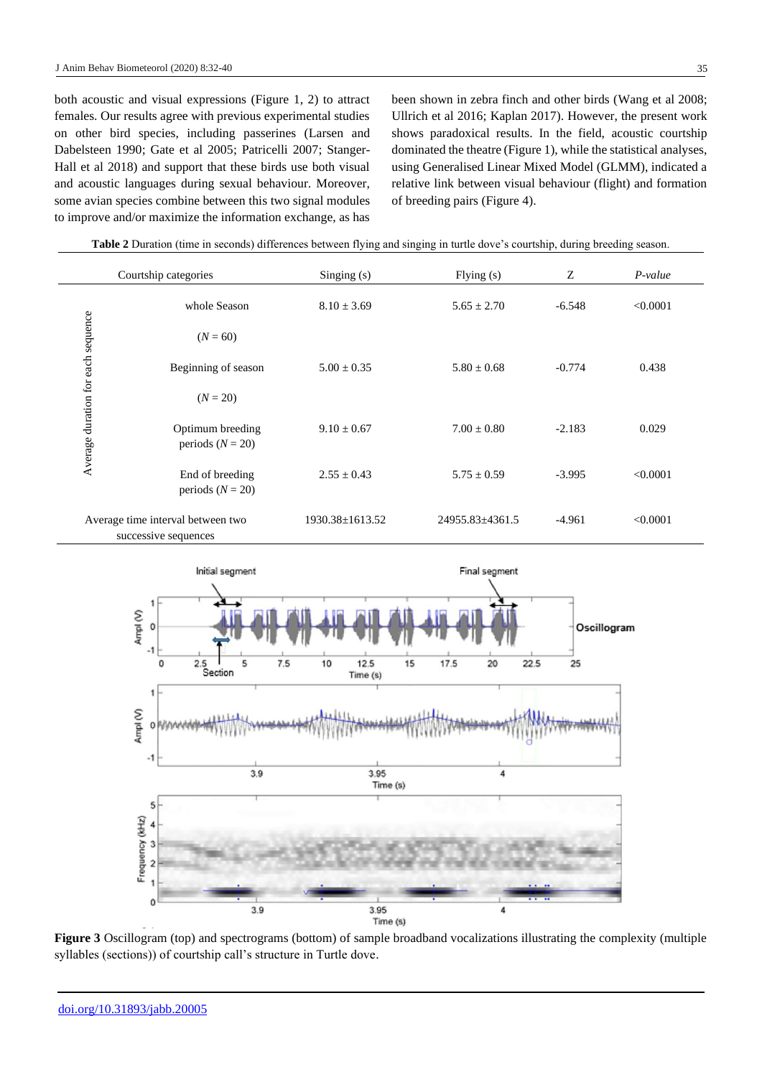both acoustic and visual expressions (Figure 1, 2) to attract females. Our results agree with previous experimental studies on other bird species, including passerines (Larsen and Dabelsteen 1990; Gate et al 2005; Patricelli 2007; Stanger-Hall et al 2018) and support that these birds use both visual and acoustic languages during sexual behaviour. Moreover, some avian species combine between this two signal modules to improve and/or maximize the information exchange, as has been shown in zebra finch and other birds (Wang et al 2008; Ullrich et al 2016; Kaplan 2017). However, the present work shows paradoxical results. In the field, acoustic courtship dominated the theatre (Figure 1), while the statistical analyses, using Generalised Linear Mixed Model (GLMM), indicated a relative link between visual behaviour (flight) and formation of breeding pairs (Figure 4).

**Table 2** Duration (time in seconds) differences between flying and singing in turtle dove's courtship, during breeding season.

|                                    | Courtship categories                                      | Singing (s)           | Flying $(s)$          | Z        | $P-value$ |
|------------------------------------|-----------------------------------------------------------|-----------------------|-----------------------|----------|-----------|
|                                    | whole Season                                              | $8.10 \pm 3.69$       | $5.65 \pm 2.70$       | $-6.548$ | < 0.0001  |
|                                    | $(N = 60)$                                                |                       |                       |          |           |
|                                    | Beginning of season                                       | $5.00 \pm 0.35$       | $5.80 \pm 0.68$       | $-0.774$ | 0.438     |
|                                    | $(N = 20)$                                                |                       |                       |          |           |
| Average duration for each sequence | Optimum breeding<br>periods ( $N = 20$ )                  | $9.10 \pm 0.67$       | $7.00 \pm 0.80$       | $-2.183$ | 0.029     |
|                                    | End of breeding<br>periods $(N = 20)$                     | $2.55 \pm 0.43$       | $5.75 \pm 0.59$       | $-3.995$ | < 0.0001  |
|                                    | Average time interval between two<br>successive sequences | $1930.38 \pm 1613.52$ | $24955.83 \pm 4361.5$ | $-4.961$ | < 0.0001  |



**Figure 3** Oscillogram (top) and spectrograms (bottom) of sample broadband vocalizations illustrating the complexity (multiple syllables (sections)) of courtship call's structure in Turtle dove.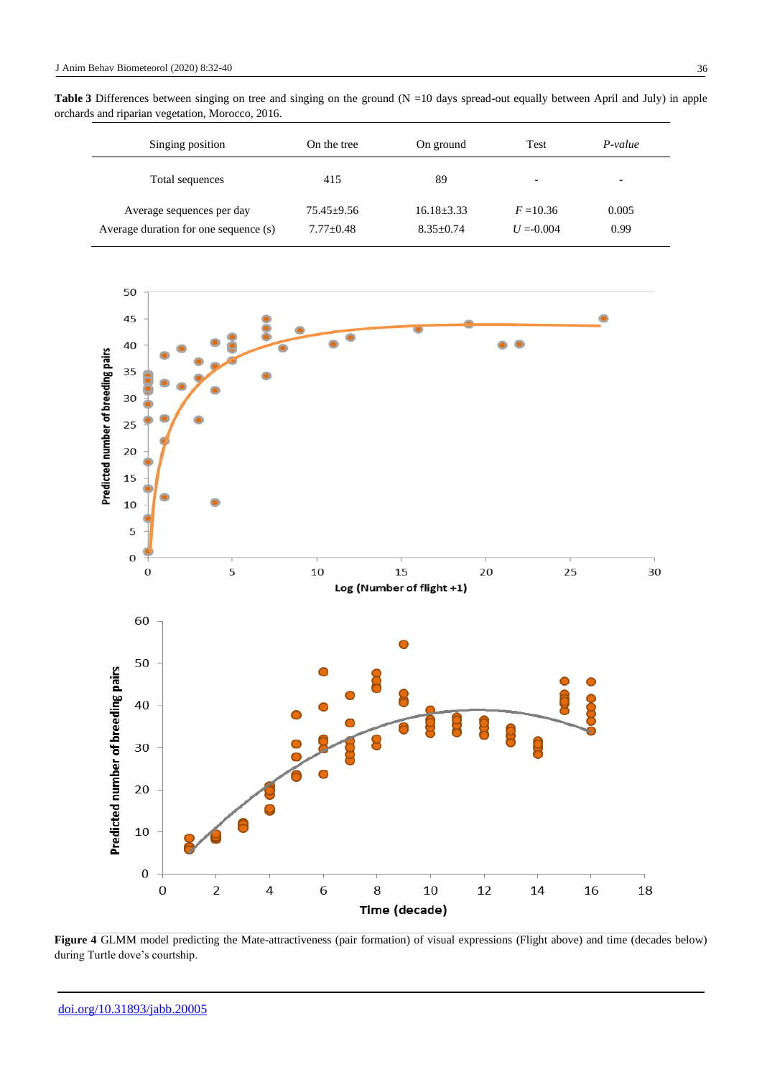| Singing position                                                   | On the tree                     | On ground                       | Test                        | $P-value$                |
|--------------------------------------------------------------------|---------------------------------|---------------------------------|-----------------------------|--------------------------|
| Total sequences                                                    | 415                             | 89                              | $\overline{\phantom{0}}$    | $\overline{\phantom{0}}$ |
| Average sequences per day<br>Average duration for one sequence (s) | $75.45 \pm 9.56$<br>$7.77+0.48$ | $16.18 + 3.33$<br>$8.35 + 0.74$ | $F = 10.36$<br>$U = -0.004$ | 0.005<br>0.99            |



Figure 4 GLMM model predicting the Mate-attractiveness (pair formation) of visual expressions (Flight above) and time (decades below) during Turtle dove's courtship.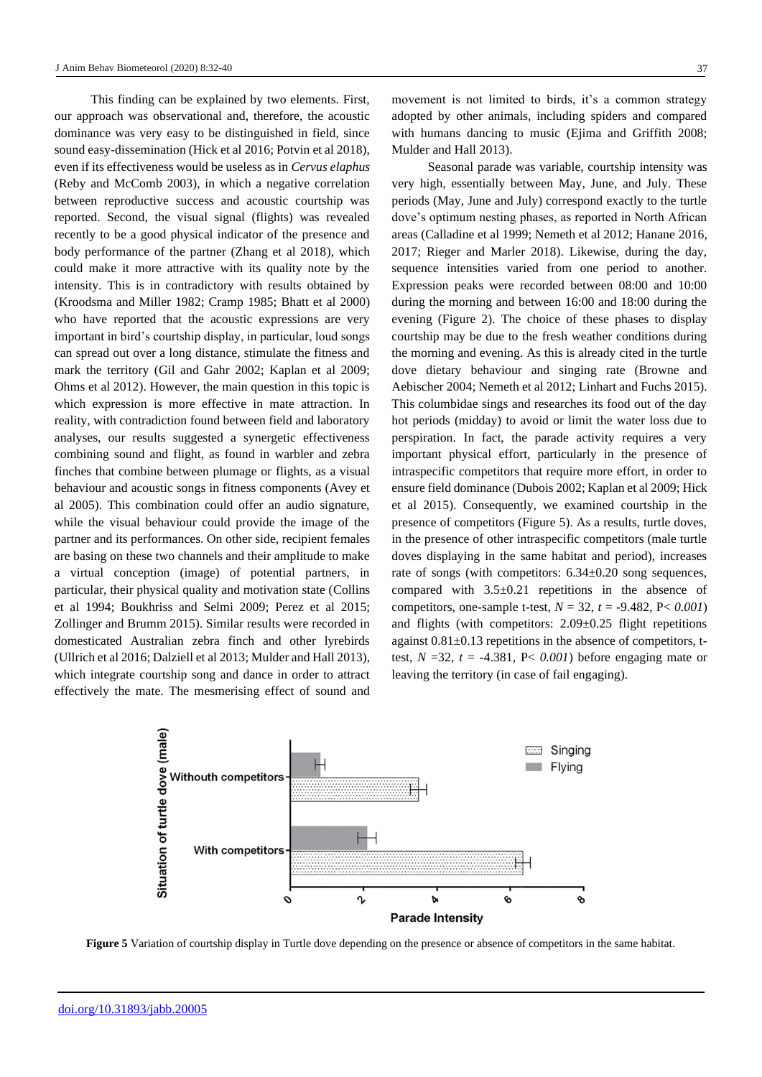This finding can be explained by two elements. First, our approach was observational and, therefore, the acoustic dominance was very easy to be distinguished in field, since sound easy-dissemination (Hick et al 2016; Potvin et al 2018), even if its effectiveness would be useless as in *Cervus elaphus* (Reby and McComb 2003), in which a negative correlation between reproductive success and acoustic courtship was reported. Second, the visual signal (flights) was revealed recently to be a good physical indicator of the presence and body performance of the partner (Zhang et al 2018), which could make it more attractive with its quality note by the intensity. This is in contradictory with results obtained by (Kroodsma and Miller 1982; Cramp 1985; Bhatt et al 2000) who have reported that the acoustic expressions are very important in bird's courtship display, in particular, loud songs can spread out over a long distance, stimulate the fitness and mark the territory (Gil and Gahr 2002; Kaplan et al 2009; Ohms et al 2012). However, the main question in this topic is which expression is more effective in mate attraction. In reality, with contradiction found between field and laboratory analyses, our results suggested a synergetic effectiveness combining sound and flight, as found in warbler and zebra finches that combine between plumage or flights, as a visual behaviour and acoustic songs in fitness components (Avey et al 2005). This combination could offer an audio signature, while the visual behaviour could provide the image of the partner and its performances. On other side, recipient females are basing on these two channels and their amplitude to make a virtual conception (image) of potential partners, in particular, their physical quality and motivation state (Collins et al 1994; Boukhriss and Selmi 2009; Perez et al 2015; Zollinger and Brumm 2015). Similar results were recorded in domesticated Australian zebra finch and other lyrebirds (Ullrich et al 2016; Dalziell et al 2013; Mulder and Hall 2013), which integrate courtship song and dance in order to attract effectively the mate. The mesmerising effect of sound and 37

movement is not limited to birds, it's a common strategy adopted by other animals, including spiders and compared with humans dancing to music (Ejima and Griffith 2008; Mulder and Hall 2013).

Seasonal parade was variable, courtship intensity was very high, essentially between May, June, and July. These periods (May, June and July) correspond exactly to the turtle dove's optimum nesting phases, as reported in North African areas (Calladine et al 1999; Nemeth et al 2012; Hanane 2016, 2017; Rieger and Marler 2018). Likewise, during the day, sequence intensities varied from one period to another. Expression peaks were recorded between 08:00 and 10:00 during the morning and between 16:00 and 18:00 during the evening (Figure 2). The choice of these phases to display courtship may be due to the fresh weather conditions during the morning and evening. As this is already cited in the turtle dove dietary behaviour and singing rate (Browne and Aebischer 2004; Nemeth et al 2012; Linhart and Fuchs 2015). This columbidae sings and researches its food out of the day hot periods (midday) to avoid or limit the water loss due to perspiration. In fact, the parade activity requires a very important physical effort, particularly in the presence of intraspecific competitors that require more effort, in order to ensure field dominance (Dubois 2002; Kaplan et al 2009; Hick et al 2015). Consequently, we examined courtship in the presence of competitors (Figure 5). As a results, turtle doves, in the presence of other intraspecific competitors (male turtle doves displaying in the same habitat and period), increases rate of songs (with competitors: 6.34±0.20 song sequences, compared with 3.5±0.21 repetitions in the absence of competitors, one-sample t-test, *N* = 32, *t* = -9.482*,* P< *0.001*) and flights (with competitors:  $2.09 \pm 0.25$  flight repetitions against 0.81±0.13 repetitions in the absence of competitors, ttest,  $N = 32$ ,  $t = -4.381$ ,  $P < 0.001$ ) before engaging mate or leaving the territory (in case of fail engaging).



**Figure 5** Variation of courtship display in Turtle dove depending on the presence or absence of competitors in the same habitat.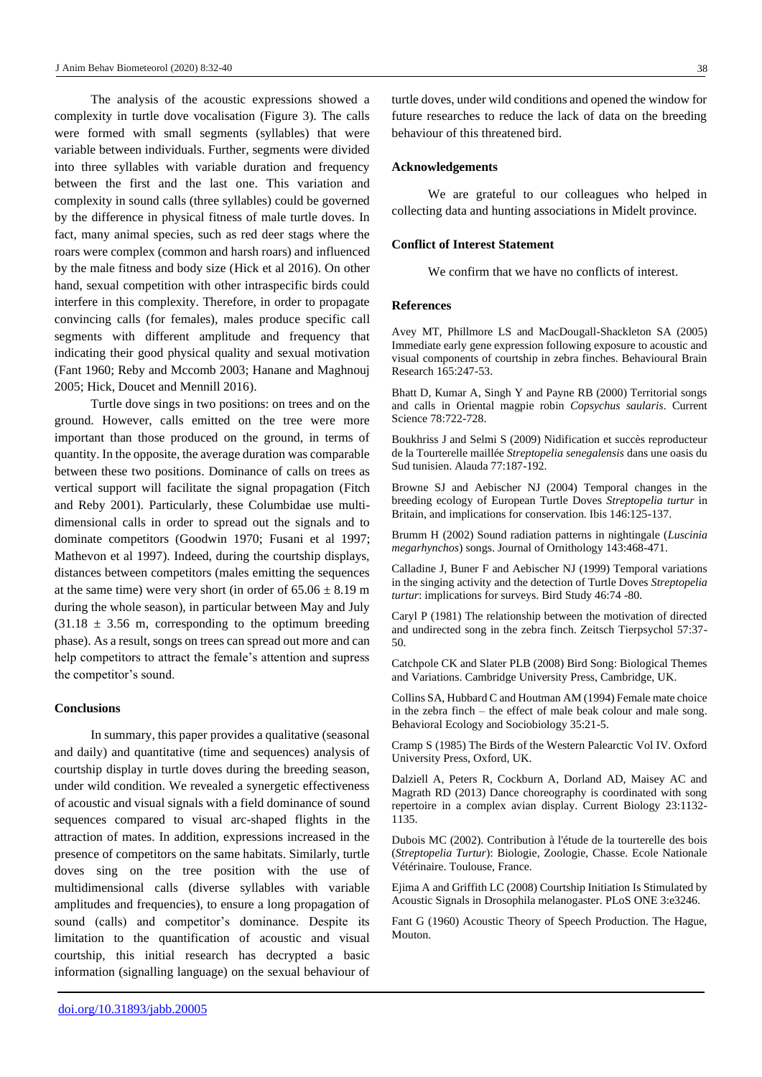The analysis of the acoustic expressions showed a complexity in turtle dove vocalisation (Figure 3). The calls were formed with small segments (syllables) that were variable between individuals. Further, segments were divided into three syllables with variable duration and frequency between the first and the last one. This variation and complexity in sound calls (three syllables) could be governed by the difference in physical fitness of male turtle doves. In fact, many animal species, such as red deer stags where the roars were complex (common and harsh roars) and influenced by the male fitness and body size (Hick et al 2016). On other hand, sexual competition with other intraspecific birds could interfere in this complexity. Therefore, in order to propagate convincing calls (for females), males produce specific call segments with different amplitude and frequency that indicating their good physical quality and sexual motivation (Fant 1960; Reby and Mccomb 2003; Hanane and Maghnouj 2005; Hick, Doucet and Mennill 2016).

Turtle dove sings in two positions: on trees and on the ground. However, calls emitted on the tree were more important than those produced on the ground, in terms of quantity. In the opposite, the average duration was comparable between these two positions. Dominance of calls on trees as vertical support will facilitate the signal propagation (Fitch and Reby 2001). Particularly, these Columbidae use multidimensional calls in order to spread out the signals and to dominate competitors (Goodwin 1970; Fusani et al 1997; Mathevon et al 1997). Indeed, during the courtship displays, distances between competitors (males emitting the sequences at the same time) were very short (in order of  $65.06 \pm 8.19$  m during the whole season), in particular between May and July  $(31.18 \pm 3.56 \text{ m}, \text{ corresponding to the optimum breeding})$ phase). As a result, songs on trees can spread out more and can help competitors to attract the female's attention and supress the competitor's sound.

## **Conclusions**

In summary, this paper provides a qualitative (seasonal and daily) and quantitative (time and sequences) analysis of courtship display in turtle doves during the breeding season, under wild condition. We revealed a synergetic effectiveness of acoustic and visual signals with a field dominance of sound sequences compared to visual arc-shaped flights in the attraction of mates. In addition, expressions increased in the presence of competitors on the same habitats. Similarly, turtle doves sing on the tree position with the use of multidimensional calls (diverse syllables with variable amplitudes and frequencies), to ensure a long propagation of sound (calls) and competitor's dominance. Despite its limitation to the quantification of acoustic and visual courtship, this initial research has decrypted a basic information (signalling language) on the sexual behaviour of

#### **Acknowledgements**

We are grateful to our colleagues who helped in collecting data and hunting associations in Midelt province.

## **Conflict of Interest Statement**

We confirm that we have no conflicts of interest.

#### **References**

Avey MT, Phillmore LS and MacDougall-Shackleton SA (2005) Immediate early gene expression following exposure to acoustic and visual components of courtship in zebra finches. Behavioural Brain Research 165:247-53.

Bhatt D, Kumar A, Singh Y and Payne RB (2000) Territorial songs and calls in Oriental magpie robin *Copsychus saularis*. Current Science 78:722-728.

Boukhriss J and Selmi S (2009) Nidification et succès reproducteur de la Tourterelle maillée *Streptopelia senegalensis* dans une oasis du Sud tunisien. Alauda 77:187-192.

Browne SJ and Aebischer NJ (2004) Temporal changes in the breeding ecology of European Turtle Doves *Streptopelia turtur* in Britain, and implications for conservation. Ibis 146:125-137.

Brumm H (2002) Sound radiation patterns in nightingale (*Luscinia megarhynchos*) songs. Journal of Ornithology 143:468-471.

Calladine J, Buner F and Aebischer NJ (1999) Temporal variations in the singing activity and the detection of Turtle Doves *Streptopelia turtur*: implications for surveys. Bird Study 46:74 -80.

Caryl P (1981) The relationship between the motivation of directed and undirected song in the zebra finch. Zeitsch Tierpsychol 57:37- 50.

Catchpole CK and Slater PLB (2008) Bird Song: Biological Themes and Variations. Cambridge University Press, Cambridge, UK.

Collins SA, Hubbard C and Houtman AM (1994) Female mate choice in the zebra finch – the effect of male beak colour and male song. Behavioral Ecology and Sociobiology 35:21-5.

Cramp S (1985) The Birds of the Western Palearctic Vol IV. Oxford University Press, Oxford, UK.

Dalziell A, Peters R, Cockburn A, Dorland AD, Maisey AC and Magrath RD (2013) Dance choreography is coordinated with song repertoire in a complex avian display. Current Biology 23:1132- 1135.

Dubois MC (2002). Contribution à l'étude de la tourterelle des bois (*Streptopelia Turtur*): Biologie, Zoologie, Chasse. Ecole Nationale Vétérinaire. Toulouse, France.

Ejima A and Griffith LC (2008) Courtship Initiation Is Stimulated by Acoustic Signals in Drosophila melanogaster. PLoS ONE 3:e3246.

Fant G (1960) Acoustic Theory of Speech Production. The Hague, Mouton.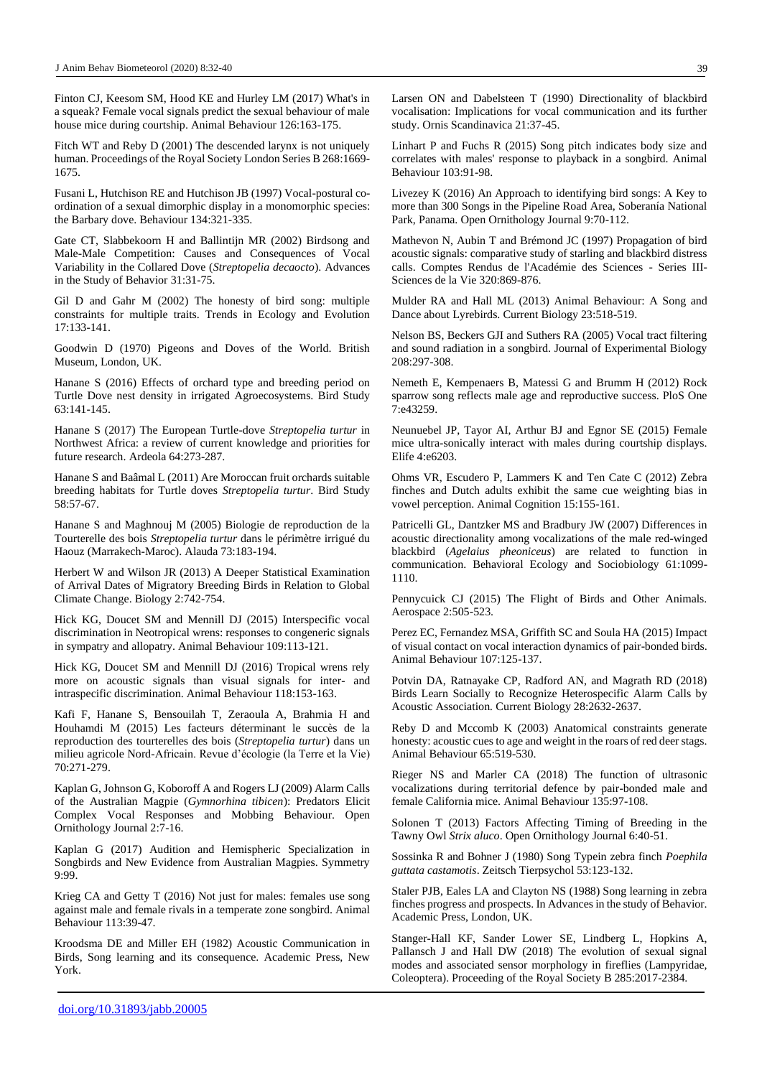Finton CJ, Keesom SM, Hood KE and Hurley LM (2017) What's in a squeak? Female vocal signals predict the sexual behaviour of male house mice during courtship. Animal Behaviour 126:163-175.

Fitch WT and Reby D (2001) The descended larynx is not uniquely human. Proceedings of the Royal Society London Series B 268:1669- 1675.

Fusani L, Hutchison RE and Hutchison JB (1997) Vocal-postural coordination of a sexual dimorphic display in a monomorphic species: the Barbary dove. Behaviour 134:321-335.

Gate CT, Slabbekoorn H and Ballintijn MR (2002) Birdsong and Male-Male Competition: Causes and Consequences of Vocal Variability in the Collared Dove (*Streptopelia decaocto*). Advances in the Study of Behavior 31:31-75.

Gil D and Gahr M (2002) The honesty of bird song: multiple constraints for multiple traits. Trends in Ecology and Evolution 17:133-141.

Goodwin D (1970) Pigeons and Doves of the World. British Museum, London, UK.

Hanane S (2016) Effects of orchard type and breeding period on Turtle Dove nest density in irrigated Agroecosystems. Bird Study 63:141-145.

Hanane S (2017) The European Turtle-dove *Streptopelia turtur* in Northwest Africa: a review of current knowledge and priorities for future research. Ardeola 64:273-287.

Hanane S and Baâmal L (2011) Are Moroccan fruit orchards suitable breeding habitats for Turtle doves *Streptopelia turtur*. Bird Study 58:57-67.

Hanane S and Maghnouj M (2005) Biologie de reproduction de la Tourterelle des bois *Streptopelia turtur* dans le périmètre irrigué du Haouz (Marrakech-Maroc). Alauda 73:183-194.

Herbert W and Wilson JR (2013) A Deeper Statistical Examination of Arrival Dates of Migratory Breeding Birds in Relation to Global Climate Change. Biology 2:742-754.

Hick KG, Doucet SM and Mennill DJ (2015) Interspecific vocal discrimination in Neotropical wrens: responses to congeneric signals in sympatry and allopatry. Animal Behaviour 109:113-121.

Hick KG, Doucet SM and Mennill DJ (2016) Tropical wrens rely more on acoustic signals than visual signals for inter- and intraspecific discrimination. Animal Behaviour 118:153-163.

Kafi F, Hanane S, Bensouilah T, Zeraoula A, Brahmia H and Houhamdi M (2015) Les facteurs déterminant le succès de la reproduction des tourterelles des bois (*Streptopelia turtur*) dans un milieu agricole Nord-Africain. Revue d'écologie (la Terre et la Vie) 70:271-279.

Kaplan G, Johnson G, Koboroff A and Rogers LJ (2009) Alarm Calls of the Australian Magpie (*Gymnorhina tibicen*): Predators Elicit Complex Vocal Responses and Mobbing Behaviour. Open Ornithology Journal 2:7-16.

Kaplan G (2017) Audition and Hemispheric Specialization in Songbirds and New Evidence from Australian Magpies. Symmetry 9:99.

Krieg CA and Getty T (2016) Not just for males: females use song against male and female rivals in a temperate zone songbird. Animal Behaviour 113:39-47.

Kroodsma DE and Miller EH (1982) Acoustic Communication in Birds, Song learning and its consequence. Academic Press, New York.

Larsen ON and Dabelsteen T (1990) Directionality of blackbird vocalisation: Implications for vocal communication and its further study. Ornis Scandinavica 21:37-45.

Linhart P and Fuchs R (2015) Song pitch indicates body size and correlates with males' response to playback in a songbird. Animal Behaviour 103:91-98.

Livezey K (2016) An Approach to identifying bird songs: A Key to more than 300 Songs in the Pipeline Road Area, Soberanía National Park, Panama. Open Ornithology Journal 9:70-112.

Mathevon N, Aubin T and Brémond JC (1997) Propagation of bird acoustic signals: comparative study of starling and blackbird distress calls. Comptes Rendus de l'Académie des Sciences - Series III-Sciences de la Vie 320:869-876.

Mulder RA and Hall ML (2013) Animal Behaviour: A Song and Dance about Lyrebirds. Current Biology 23:518-519.

Nelson BS, Beckers GJI and Suthers RA (2005) Vocal tract filtering and sound radiation in a songbird. Journal of Experimental Biology 208:297-308.

Nemeth E, Kempenaers B, Matessi G and Brumm H (2012) Rock sparrow song reflects male age and reproductive success. PloS One 7:e43259.

Neunuebel JP, Tayor AI, Arthur BJ and Egnor SE (2015) Female mice ultra-sonically interact with males during courtship displays. Elife 4:e6203.

Ohms VR, Escudero P, Lammers K and Ten Cate C (2012) Zebra finches and Dutch adults exhibit the same cue weighting bias in vowel perception. Animal Cognition 15:155-161.

Patricelli GL, Dantzker MS and Bradbury JW (2007) Differences in acoustic directionality among vocalizations of the male red-winged blackbird (*Agelaius pheoniceus*) are related to function in communication. Behavioral Ecology and Sociobiology 61:1099- 1110.

Pennycuick CJ (2015) The Flight of Birds and Other Animals. Aerospace 2:505-523.

Perez EC, Fernandez MSA, Griffith SC and Soula HA (2015) Impact of visual contact on vocal interaction dynamics of pair-bonded birds. Animal Behaviour 107:125-137.

Potvin DA, Ratnayake CP, Radford AN, and Magrath RD (2018) Birds Learn Socially to Recognize Heterospecific Alarm Calls by Acoustic Association*.* Current Biology 28:2632-2637.

Reby D and Mccomb K (2003) Anatomical constraints generate honesty: acoustic cues to age and weight in the roars of red deer stags. Animal Behaviour 65:519-530.

Rieger NS and Marler CA (2018) The function of ultrasonic vocalizations during territorial defence by pair-bonded male and female California mice. Animal Behaviour 135:97-108.

Solonen T (2013) Factors Affecting Timing of Breeding in the Tawny Owl *Strix aluco*. Open Ornithology Journal 6:40-51.

Sossinka R and Bohner J (1980) Song Typein zebra finch *Poephila guttata castamotis*. Zeitsch Tierpsychol 53:123-132.

Staler PJB, Eales LA and Clayton NS (1988) Song learning in zebra finches progress and prospects. In Advances in the study of Behavior. Academic Press, London, UK.

Stanger-Hall KF, Sander Lower SE, Lindberg L, Hopkins A, Pallansch J and Hall DW (2018) The evolution of sexual signal modes and associated sensor morphology in fireflies (Lampyridae, Coleoptera). Proceeding of the Royal Society B 285:2017-2384.